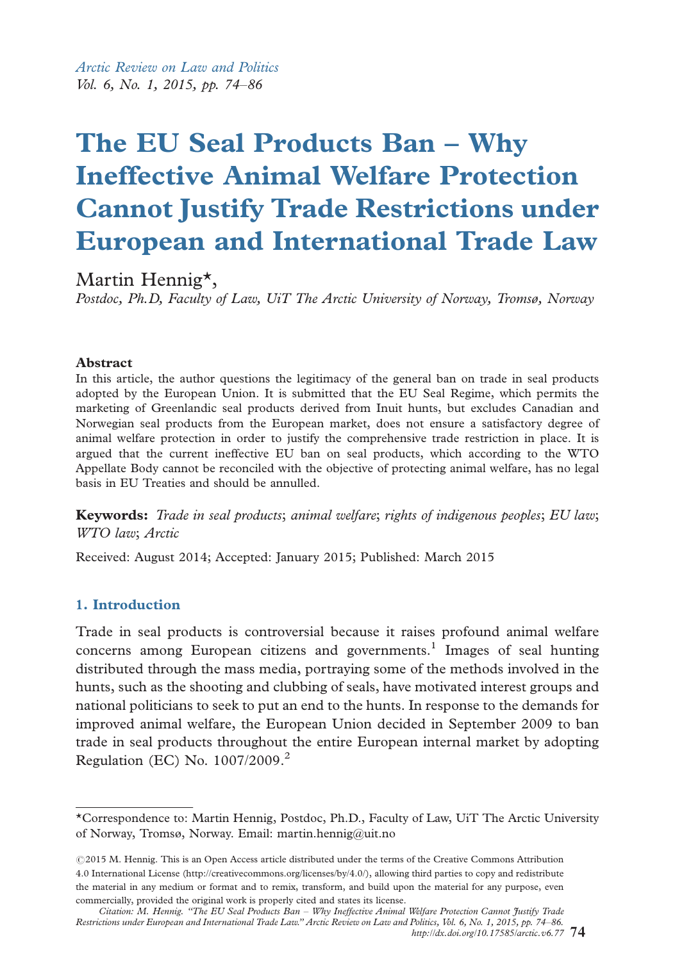Arctic Review on Law and Politics Vol. 6, No. 1, 2015, pp. 74-86

# The EU Seal Products Ban - Why Ineffective Animal Welfare Protection Cannot Justify Trade Restrictions under European and International Trade Law

## Martin Hennig\*,

Postdoc, Ph.D, Faculty of Law, UiT The Arctic University of Norway, Tromsø, Norway

#### Abstract

In this article, the author questions the legitimacy of the general ban on trade in seal products adopted by the European Union. It is submitted that the EU Seal Regime, which permits the marketing of Greenlandic seal products derived from Inuit hunts, but excludes Canadian and Norwegian seal products from the European market, does not ensure a satisfactory degree of animal welfare protection in order to justify the comprehensive trade restriction in place. It is argued that the current ineffective EU ban on seal products, which according to the WTO Appellate Body cannot be reconciled with the objective of protecting animal welfare, has no legal basis in EU Treaties and should be annulled.

Keywords: Trade in seal products; animal welfare; rights of indigenous peoples; EU law; WTO law; Arctic

Received: August 2014; Accepted: January 2015; Published: March 2015

### 1. Introduction

Trade in seal products is controversial because it raises profound animal welfare concerns among European citizens and governments.<sup>1</sup> Images of seal hunting distributed through the mass media, portraying some of the methods involved in the hunts, such as the shooting and clubbing of seals, have motivated interest groups and national politicians to seek to put an end to the hunts. In response to the demands for improved animal welfare, the European Union decided in September 2009 to ban trade in seal products throughout the entire European internal market by adopting Regulation (EC) [No.](http://creativecommons.org/licenses/by/4.0/) [1007/2009.2](http://creativecommons.org/licenses/by/4.0/)

<sup>\*</sup>Correspondence to: Martin Hennig, Postdoc, Ph.D., Faculty [of](http://dx.doi.org/10.17585/arctic.v6.77) [Law,](http://dx.doi.org/10.17585/arctic.v6.77) [UiT](http://dx.doi.org/10.17585/arctic.v6.77) [The](http://dx.doi.org/10.17585/arctic.v6.77) [Arctic](http://dx.doi.org/10.17585/arctic.v6.77) [Uni](http://dx.doi.org/10.17585/arctic.v6.77)versity of Norway, Tromsø, Norway. Email: martin.hennig@uit.no

 $@2015$  M. Hennig. This is an Open Access article distributed under the terms of the Creative Commons Attribution 4.0 International License (http://creativecommons.org/licenses/by/4.0/), allowing third parties to copy and redistribute the material in any medium or format and to remix, transform, and build upon the material for any purpose, even commercially, provided the original work is properly cited and states its license.

Citation: M. Hennig. "The EU Seal Products Ban – Why Ineffective Animal Welfare Protection Cannot Justify Trade<br>Restrictions under European and International Trade Law." Arctic Review on Law and Politics, Vol. 6, No. 1, 20 http://dx.doi.org/10.17585/arctic.v6.77 74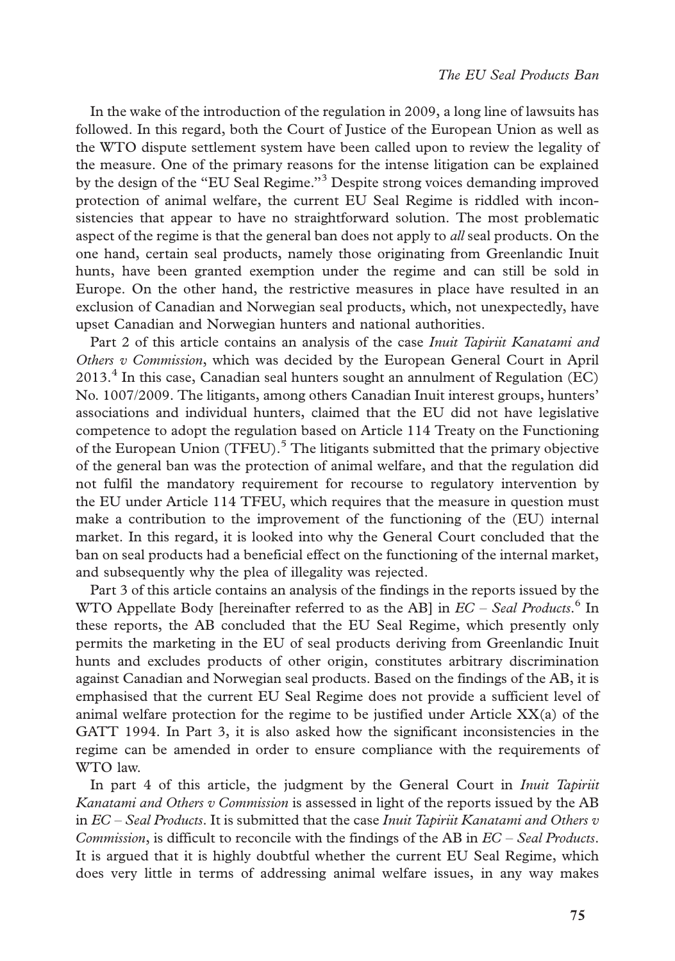In the wake of the introduction of the regulation in 2009, a long line of lawsuits has followed. In this regard, both the Court of Justice of the European Union as well as the WTO dispute settlement system have been called upon to review the legality of the measure. One of the primary reasons for the intense litigation can be explained by the design of the "EU Seal Regime."<sup>3</sup> Despite strong voices demanding improved protection of animal welfare, the current EU Seal Regime is riddled with inconsistencies that appear to have no straightforward solution. The most problematic aspect of the regime is that the general ban does not apply to *all* seal products. On the one hand, certain seal products, namely those originating from Greenlandic Inuit hunts, have been granted exemption under the regime and can still be sold in Europe. On the other hand, the restrictive measures in place have resulted in an exclusion of Canadian and Norwegian seal products, which, not unexpectedly, have upset Canadian and Norwegian hunters and national authorities.

Part 2 of this article contains an analysis of the case Inuit Tapiriit Kanatami and Others v Commission, which was decided by the European General Court in April  $2013<sup>4</sup>$  In this case, Canadian seal hunters sought an annulment of Regulation (EC) No. 1007/2009. The litigants, among others Canadian Inuit interest groups, hunters' associations and individual hunters, claimed that the EU did not have legislative competence to adopt the regulation based on Article 114 Treaty on the Functioning of the European Union (TFEU).<sup>5</sup> The litigants submitted that the primary objective of the general ban was the protection of animal welfare, and that the regulation did not fulfil the mandatory requirement for recourse to regulatory intervention by the EU under Article 114 TFEU, which requires that the measure in question must make a contribution to the improvement of the functioning of the (EU) internal market. In this regard, it is looked into why the General Court concluded that the ban on seal products had a beneficial effect on the functioning of the internal market, and subsequently why the plea of illegality was rejected.

Part 3 of this article contains an analysis of the findings in the reports issued by the WTO Appellate Body [hereinafter referred to as the AB] in EC - Seal Products.<sup>6</sup> In these reports, the AB concluded that the EU Seal Regime, which presently only permits the marketing in the EU of seal products deriving from Greenlandic Inuit hunts and excludes products of other origin, constitutes arbitrary discrimination against Canadian and Norwegian seal products. Based on the findings of the AB, it is emphasised that the current EU Seal Regime does not provide a sufficient level of animal welfare protection for the regime to be justified under Article  $XX(a)$  of the GATT 1994. In Part 3, it is also asked how the significant inconsistencies in the regime can be amended in order to ensure compliance with the requirements of WTO law.

In part 4 of this article, the judgment by the General Court in *Inuit Tapiriit* Kanatami and Others v Commission is assessed in light of the reports issued by the AB in  $EG$  – Seal Products. It is submitted that the case Inuit Tapiriit Kanatami and Others  $v$ Commission, is difficult to reconcile with the findings of the AB in  $EC$  - Seal Products. It is argued that it is highly doubtful whether the current EU Seal Regime, which does very little in terms of addressing animal welfare issues, in any way makes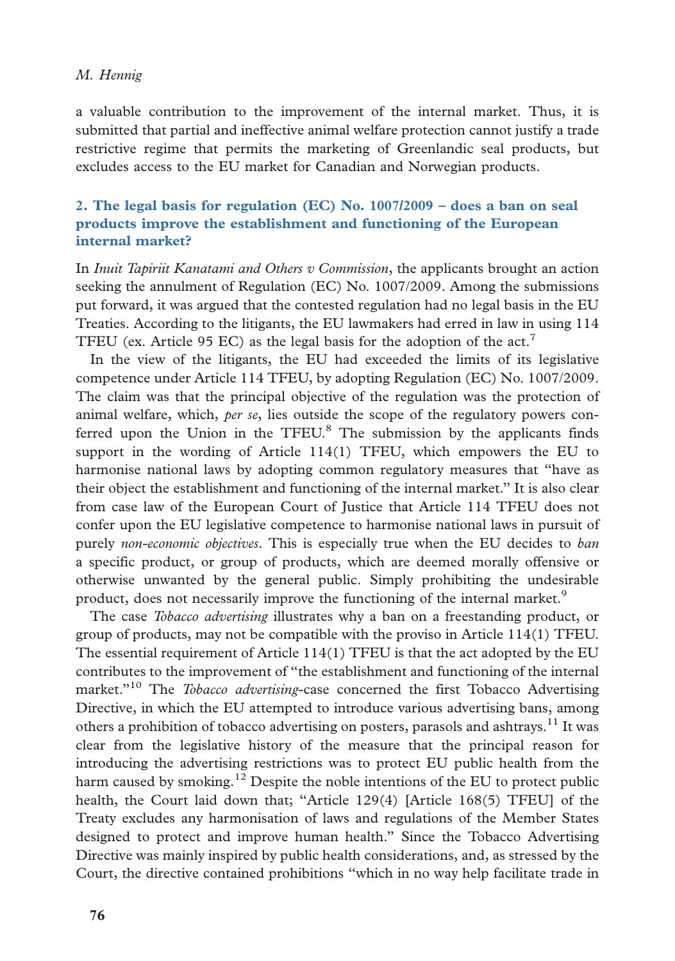#### M. Hennig

a valuable contribution to the improvement of the internal market. Thus, it is submitted that partial and ineffective animal welfare protection cannot justify a trade restrictive regime that permits the marketing of Greenlandic seal products, but excludes access to the EU market for Canadian and Norwegian products.

# 2. The legal basis for regulation (EC) No. 1007/2009 - does a ban on seal products improve the establishment and functioning of the European internal market?

In *Inuit Tapiriit Kanatami and Others v Commission*, the applicants brought an action seeking the annulment of Regulation (EC) No. 1007/2009. Among the submissions put forward, it was argued that the contested regulation had no legal basis in the EU Treaties. According to the litigants, the EU lawmakers had erred in law in using 114 TFEU (ex. Article 95 EC) as the legal basis for the adoption of the  $act<sup>7</sup>$ 

In the view of the litigants, the EU had exceeded the limits of its legislative competence under Article 114 TFEU, by adopting Regulation (EC) No. 1007/2009. The claim was that the principal objective of the regulation was the protection of animal welfare, which, per se, lies outside the scope of the regulatory powers conferred upon the Union in the TFEU.<sup>8</sup> The submission by the applicants finds support in the wording of Article 114(1) TFEU, which empowers the EU to harmonise national laws by adopting common regulatory measures that ''have as their object the establishment and functioning of the internal market.'' It is also clear from case law of the European Court of Justice that Article 114 TFEU does not confer upon the EU legislative competence to harmonise national laws in pursuit of purely non-economic objectives. This is especially true when the EU decides to ban a specific product, or group of products, which are deemed morally offensive or otherwise unwanted by the general public. Simply prohibiting the undesirable product, does not necessarily improve the functioning of the internal market.<sup>9</sup>

The case *Tobacco advertising* illustrates why a ban on a freestanding product, or group of products, may not be compatible with the proviso in Article 114(1) TFEU. The essential requirement of Article  $114(1)$  TFEU is that the act adopted by the EU contributes to the improvement of ''the establishment and functioning of the internal market."<sup>10</sup> The Tobacco advertising-case concerned the first Tobacco Advertising Directive, in which the EU attempted to introduce various advertising bans, among others a prohibition of tobacco advertising on posters, parasols and ashtrays.<sup>11</sup> It was clear from the legislative history of the measure that the principal reason for introducing the advertising restrictions was to protect EU public health from the harm caused by smoking.<sup>12</sup> Despite the noble intentions of the EU to protect public health, the Court laid down that; ''Article 129(4) [Article 168(5) TFEU] of the Treaty excludes any harmonisation of laws and regulations of the Member States designed to protect and improve human health.'' Since the Tobacco Advertising Directive was mainly inspired by public health considerations, and, as stressed by the Court, the directive contained prohibitions ''which in no way help facilitate trade in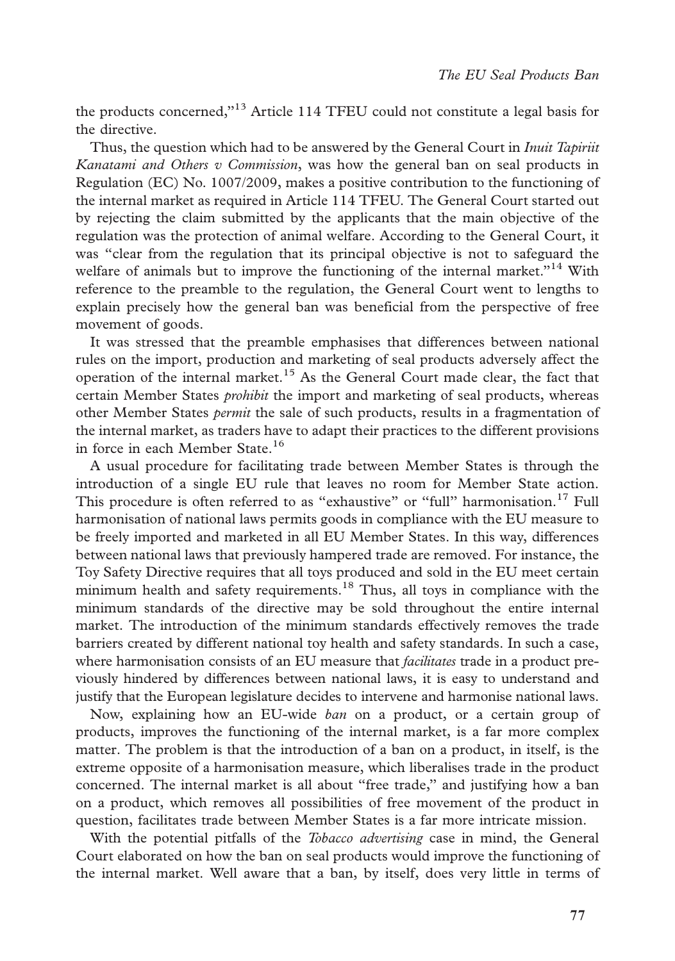the products concerned,''13 Article 114 TFEU could not constitute a legal basis for the directive.

Thus, the question which had to be answered by the General Court in *Inuit Tapiriit* Kanatami and Others v Commission, was how the general ban on seal products in Regulation (EC) No. 1007/2009, makes a positive contribution to the functioning of the internal market as required in Article 114 TFEU. The General Court started out by rejecting the claim submitted by the applicants that the main objective of the regulation was the protection of animal welfare. According to the General Court, it was ''clear from the regulation that its principal objective is not to safeguard the welfare of animals but to improve the functioning of the internal market."<sup>14</sup> With reference to the preamble to the regulation, the General Court went to lengths to explain precisely how the general ban was beneficial from the perspective of free movement of goods.

It was stressed that the preamble emphasises that differences between national rules on the import, production and marketing of seal products adversely affect the operation of the internal market.<sup>15</sup> As the General Court made clear, the fact that certain Member States *prohibit* the import and marketing of seal products, whereas other Member States *permit* the sale of such products, results in a fragmentation of the internal market, as traders have to adapt their practices to the different provisions in force in each Member State.<sup>16</sup>

A usual procedure for facilitating trade between Member States is through the introduction of a single EU rule that leaves no room for Member State action. This procedure is often referred to as "exhaustive" or "full" harmonisation.<sup>17</sup> Full harmonisation of national laws permits goods in compliance with the EU measure to be freely imported and marketed in all EU Member States. In this way, differences between national laws that previously hampered trade are removed. For instance, the Toy Safety Directive requires that all toys produced and sold in the EU meet certain minimum health and safety requirements.<sup>18</sup> Thus, all toys in compliance with the minimum standards of the directive may be sold throughout the entire internal market. The introduction of the minimum standards effectively removes the trade barriers created by different national toy health and safety standards. In such a case, where harmonisation consists of an EU measure that *facilitates* trade in a product previously hindered by differences between national laws, it is easy to understand and justify that the European legislature decides to intervene and harmonise national laws.

Now, explaining how an EU-wide ban on a product, or a certain group of products, improves the functioning of the internal market, is a far more complex matter. The problem is that the introduction of a ban on a product, in itself, is the extreme opposite of a harmonisation measure, which liberalises trade in the product concerned. The internal market is all about ''free trade,'' and justifying how a ban on a product, which removes all possibilities of free movement of the product in question, facilitates trade between Member States is a far more intricate mission.

With the potential pitfalls of the *Tobacco advertising* case in mind, the General Court elaborated on how the ban on seal products would improve the functioning of the internal market. Well aware that a ban, by itself, does very little in terms of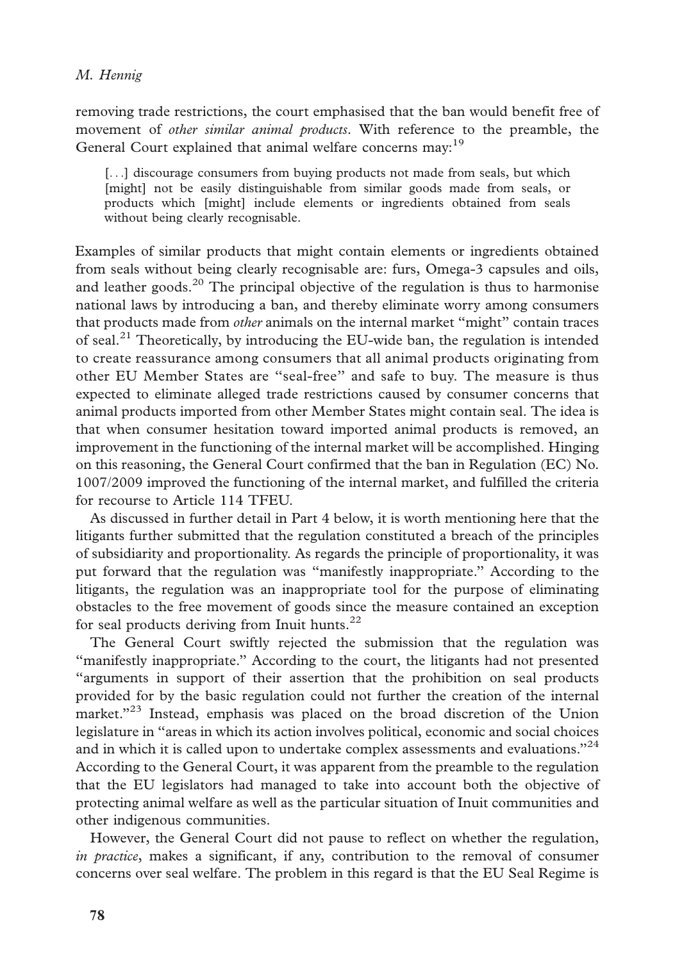removing trade restrictions, the court emphasised that the ban would benefit free of movement of *other similar animal products*. With reference to the preamble, the General Court explained that animal welfare concerns may:<sup>19</sup>

[...] discourage consumers from buying products not made from seals, but which [might] not be easily distinguishable from similar goods made from seals, or products which [might] include elements or ingredients obtained from seals without being clearly recognisable.

Examples of similar products that might contain elements or ingredients obtained from seals without being clearly recognisable are: furs, Omega-3 capsules and oils, and leather goods.<sup>20</sup> The principal objective of the regulation is thus to harmonise national laws by introducing a ban, and thereby eliminate worry among consumers that products made from *other* animals on the internal market "might" contain traces of seal.<sup>21</sup> Theoretically, by introducing the EU-wide ban, the regulation is intended to create reassurance among consumers that all animal products originating from other EU Member States are ''seal-free'' and safe to buy. The measure is thus expected to eliminate alleged trade restrictions caused by consumer concerns that animal products imported from other Member States might contain seal. The idea is that when consumer hesitation toward imported animal products is removed, an improvement in the functioning of the internal market will be accomplished. Hinging on this reasoning, the General Court confirmed that the ban in Regulation (EC) No. 1007/2009 improved the functioning of the internal market, and fulfilled the criteria for recourse to Article 114 TFEU.

As discussed in further detail in Part 4 below, it is worth mentioning here that the litigants further submitted that the regulation constituted a breach of the principles of subsidiarity and proportionality. As regards the principle of proportionality, it was put forward that the regulation was ''manifestly inappropriate.'' According to the litigants, the regulation was an inappropriate tool for the purpose of eliminating obstacles to the free movement of goods since the measure contained an exception for seal products deriving from Inuit hunts. $^{22}$ 

The General Court swiftly rejected the submission that the regulation was ''manifestly inappropriate.'' According to the court, the litigants had not presented ''arguments in support of their assertion that the prohibition on seal products provided for by the basic regulation could not further the creation of the internal market."<sup>23</sup> Instead, emphasis was placed on the broad discretion of the Union legislature in "areas in which its action involves political, economic and social choices and in which it is called upon to undertake complex assessments and evaluations. $^{22}$ According to the General Court, it was apparent from the preamble to the regulation that the EU legislators had managed to take into account both the objective of protecting animal welfare as well as the particular situation of Inuit communities and other indigenous communities.

However, the General Court did not pause to reflect on whether the regulation, in practice, makes a significant, if any, contribution to the removal of consumer concerns over seal welfare. The problem in this regard is that the EU Seal Regime is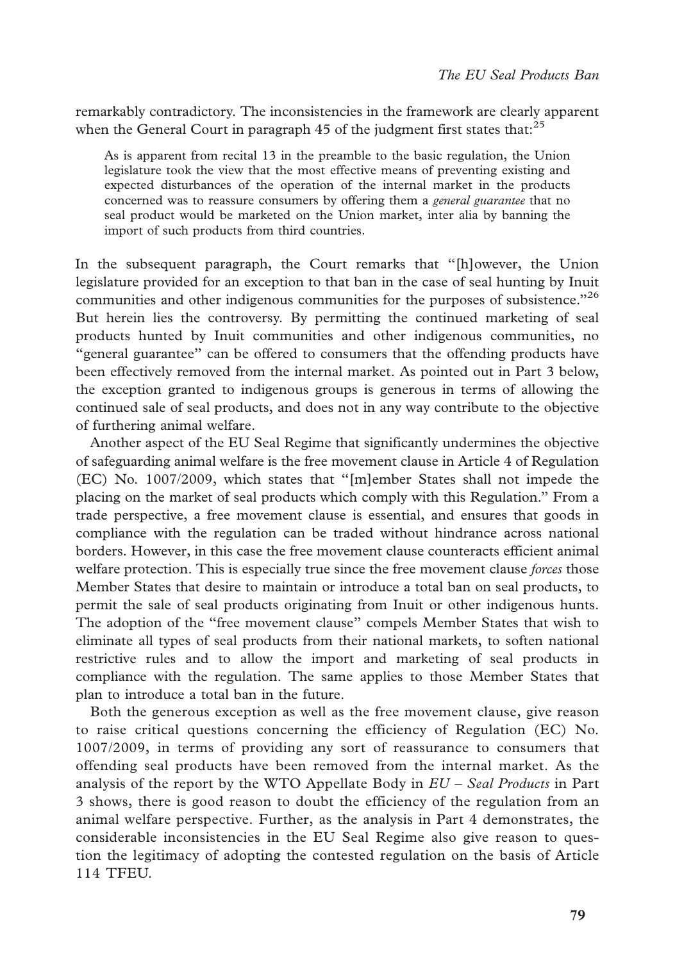remarkably contradictory. The inconsistencies in the framework are clearly apparent when the General Court in paragraph 45 of the judgment first states that: $^{25}$ 

As is apparent from recital 13 in the preamble to the basic regulation, the Union legislature took the view that the most effective means of preventing existing and expected disturbances of the operation of the internal market in the products concerned was to reassure consumers by offering them a general guarantee that no seal product would be marketed on the Union market, inter alia by banning the import of such products from third countries.

In the subsequent paragraph, the Court remarks that ''[h]owever, the Union legislature provided for an exception to that ban in the case of seal hunting by Inuit communities and other indigenous communities for the purposes of subsistence."<sup>26</sup> But herein lies the controversy. By permitting the continued marketing of seal products hunted by Inuit communities and other indigenous communities, no ''general guarantee'' can be offered to consumers that the offending products have been effectively removed from the internal market. As pointed out in Part 3 below, the exception granted to indigenous groups is generous in terms of allowing the continued sale of seal products, and does not in any way contribute to the objective of furthering animal welfare.

Another aspect of the EU Seal Regime that significantly undermines the objective of safeguarding animal welfare is the free movement clause in Article 4 of Regulation (EC) No. 1007/2009, which states that ''[m]ember States shall not impede the placing on the market of seal products which comply with this Regulation.'' From a trade perspective, a free movement clause is essential, and ensures that goods in compliance with the regulation can be traded without hindrance across national borders. However, in this case the free movement clause counteracts efficient animal welfare protection. This is especially true since the free movement clause *forces* those Member States that desire to maintain or introduce a total ban on seal products, to permit the sale of seal products originating from Inuit or other indigenous hunts. The adoption of the ''free movement clause'' compels Member States that wish to eliminate all types of seal products from their national markets, to soften national restrictive rules and to allow the import and marketing of seal products in compliance with the regulation. The same applies to those Member States that plan to introduce a total ban in the future.

Both the generous exception as well as the free movement clause, give reason to raise critical questions concerning the efficiency of Regulation (EC) No. 1007/2009, in terms of providing any sort of reassurance to consumers that offending seal products have been removed from the internal market. As the analysis of the report by the WTO Appellate Body in  $EU$  - Seal Products in Part 3 shows, there is good reason to doubt the efficiency of the regulation from an animal welfare perspective. Further, as the analysis in Part 4 demonstrates, the considerable inconsistencies in the EU Seal Regime also give reason to question the legitimacy of adopting the contested regulation on the basis of Article 114 TFEU.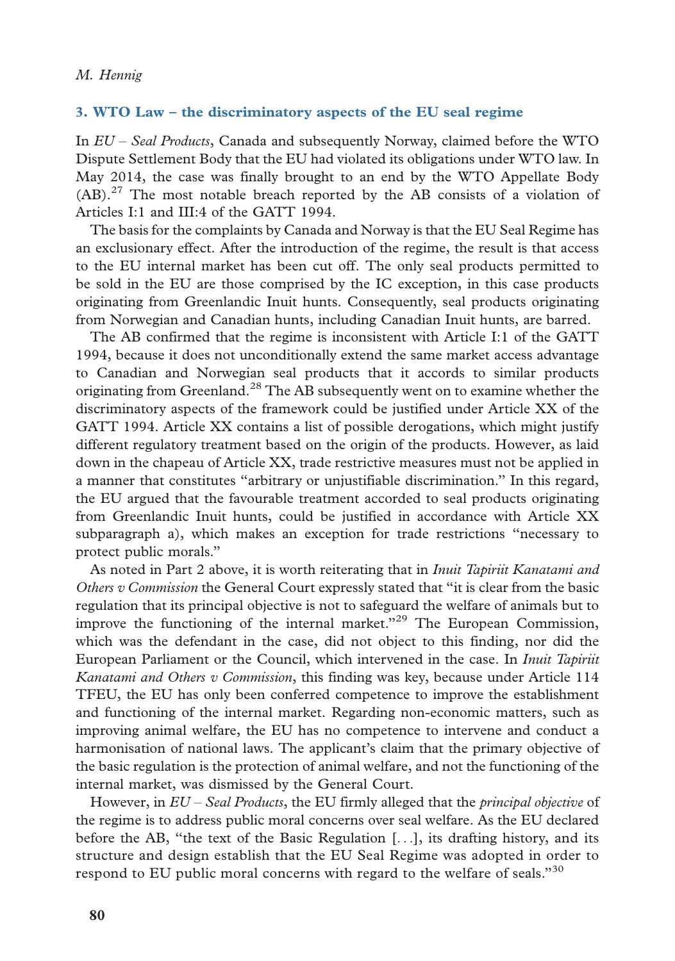# 3. WTO Law - the discriminatory aspects of the EU seal regime

In EU - Seal Products, Canada and subsequently Norway, claimed before the WTO Dispute Settlement Body that the EU had violated its obligations under WTO law. In May 2014, the case was finally brought to an end by the WTO Appellate Body (AB).<sup>27</sup> The most notable breach reported by the AB consists of a violation of Articles I:1 and III:4 of the GATT 1994.

The basis for the complaints by Canada and Norway is that the EU Seal Regime has an exclusionary effect. After the introduction of the regime, the result is that access to the EU internal market has been cut off. The only seal products permitted to be sold in the EU are those comprised by the IC exception, in this case products originating from Greenlandic Inuit hunts. Consequently, seal products originating from Norwegian and Canadian hunts, including Canadian Inuit hunts, are barred.

The AB confirmed that the regime is inconsistent with Article I:1 of the GATT 1994, because it does not unconditionally extend the same market access advantage to Canadian and Norwegian seal products that it accords to similar products originating from Greenland.<sup>28</sup> The AB subsequently went on to examine whether the discriminatory aspects of the framework could be justified under Article XX of the GATT 1994. Article XX contains a list of possible derogations, which might justify different regulatory treatment based on the origin of the products. However, as laid down in the chapeau of Article XX, trade restrictive measures must not be applied in a manner that constitutes ''arbitrary or unjustifiable discrimination.'' In this regard, the EU argued that the favourable treatment accorded to seal products originating from Greenlandic Inuit hunts, could be justified in accordance with Article XX subparagraph a), which makes an exception for trade restrictions ''necessary to protect public morals.''

As noted in Part 2 above, it is worth reiterating that in *Inuit Tapiriit Kanatami and* Others  $v$  Commission the General Court expressly stated that "it is clear from the basic regulation that its principal objective is not to safeguard the welfare of animals but to improve the functioning of the internal market. $^{29}$  The European Commission, which was the defendant in the case, did not object to this finding, nor did the European Parliament or the Council, which intervened in the case. In Inuit Tapiriit Kanatami and Others v Commission, this finding was key, because under Article 114 TFEU, the EU has only been conferred competence to improve the establishment and functioning of the internal market. Regarding non-economic matters, such as improving animal welfare, the EU has no competence to intervene and conduct a harmonisation of national laws. The applicant's claim that the primary objective of the basic regulation is the protection of animal welfare, and not the functioning of the internal market, was dismissed by the General Court.

However, in EU - Seal Products, the EU firmly alleged that the principal objective of the regime is to address public moral concerns over seal welfare. As the EU declared before the AB, ''the text of the Basic Regulation [...], its drafting history, and its structure and design establish that the EU Seal Regime was adopted in order to respond to EU public moral concerns with regard to the welfare of seals. $^{30}$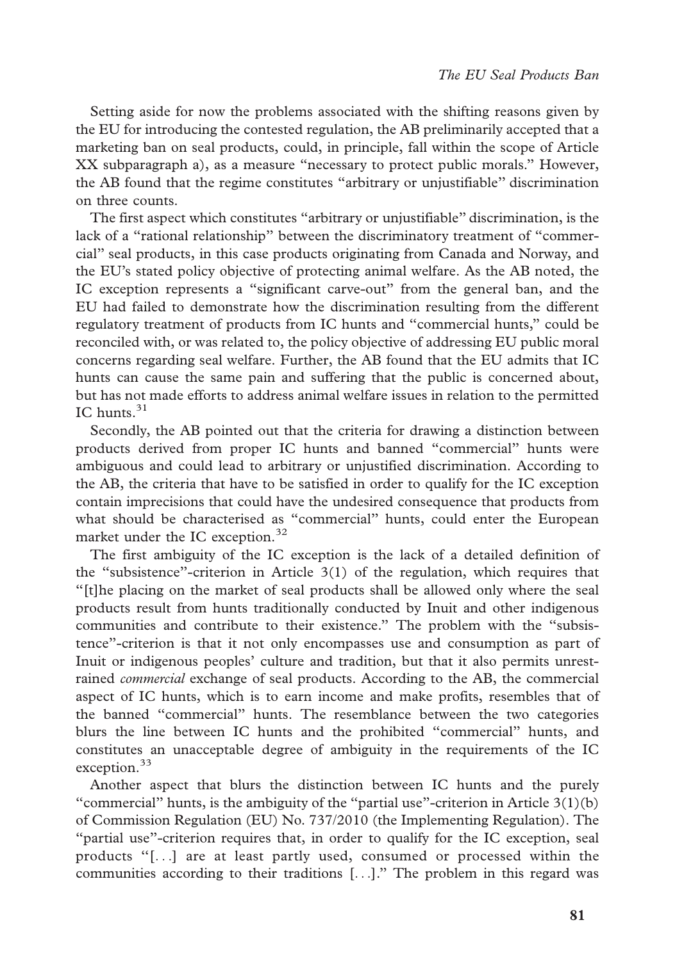Setting aside for now the problems associated with the shifting reasons given by the EU for introducing the contested regulation, the AB preliminarily accepted that a marketing ban on seal products, could, in principle, fall within the scope of Article XX subparagraph a), as a measure ''necessary to protect public morals.'' However, the AB found that the regime constitutes ''arbitrary or unjustifiable'' discrimination on three counts.

The first aspect which constitutes ''arbitrary or unjustifiable'' discrimination, is the lack of a ''rational relationship'' between the discriminatory treatment of ''commercial'' seal products, in this case products originating from Canada and Norway, and the EU's stated policy objective of protecting animal welfare. As the AB noted, the IC exception represents a ''significant carve-out'' from the general ban, and the EU had failed to demonstrate how the discrimination resulting from the different regulatory treatment of products from IC hunts and ''commercial hunts,'' could be reconciled with, or was related to, the policy objective of addressing EU public moral concerns regarding seal welfare. Further, the AB found that the EU admits that IC hunts can cause the same pain and suffering that the public is concerned about, but has not made efforts to address animal welfare issues in relation to the permitted IC hunts. $31$ 

Secondly, the AB pointed out that the criteria for drawing a distinction between products derived from proper IC hunts and banned ''commercial'' hunts were ambiguous and could lead to arbitrary or unjustified discrimination. According to the AB, the criteria that have to be satisfied in order to qualify for the IC exception contain imprecisions that could have the undesired consequence that products from what should be characterised as ''commercial'' hunts, could enter the European market under the IC exception.<sup>32</sup>

The first ambiguity of the IC exception is the lack of a detailed definition of the "subsistence"-criterion in Article  $3(1)$  of the regulation, which requires that ''[t]he placing on the market of seal products shall be allowed only where the seal products result from hunts traditionally conducted by Inuit and other indigenous communities and contribute to their existence.'' The problem with the ''subsistence''-criterion is that it not only encompasses use and consumption as part of Inuit or indigenous peoples' culture and tradition, but that it also permits unrestrained commercial exchange of seal products. According to the AB, the commercial aspect of IC hunts, which is to earn income and make profits, resembles that of the banned ''commercial'' hunts. The resemblance between the two categories blurs the line between IC hunts and the prohibited ''commercial'' hunts, and constitutes an unacceptable degree of ambiguity in the requirements of the IC exception.<sup>33</sup>

Another aspect that blurs the distinction between IC hunts and the purely "commercial" hunts, is the ambiguity of the "partial use"-criterion in Article  $3(1)(b)$ of Commission Regulation (EU) No. 737/2010 (the Implementing Regulation). The ''partial use''-criterion requires that, in order to qualify for the IC exception, seal products ''[...] are at least partly used, consumed or processed within the communities according to their traditions [...].'' The problem in this regard was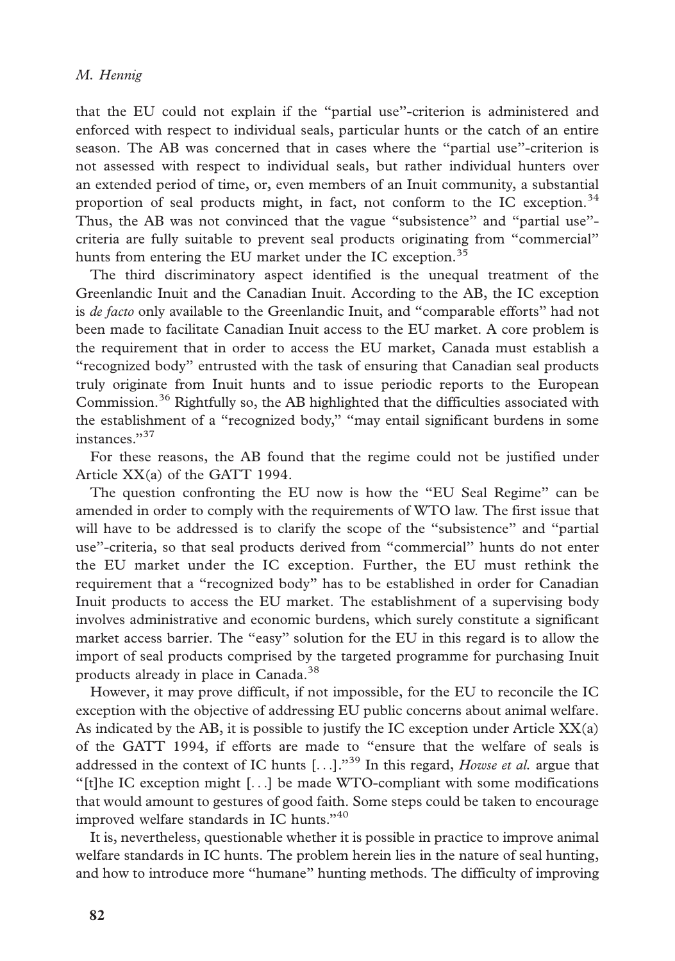that the EU could not explain if the ''partial use''-criterion is administered and enforced with respect to individual seals, particular hunts or the catch of an entire season. The AB was concerned that in cases where the ''partial use''-criterion is not assessed with respect to individual seals, but rather individual hunters over an extended period of time, or, even members of an Inuit community, a substantial proportion of seal products might, in fact, not conform to the IC exception.<sup>34</sup> Thus, the AB was not convinced that the vague "subsistence" and "partial use"criteria are fully suitable to prevent seal products originating from ''commercial'' hunts from entering the EU market under the IC exception.<sup>35</sup>

The third discriminatory aspect identified is the unequal treatment of the Greenlandic Inuit and the Canadian Inuit. According to the AB, the IC exception is *de facto* only available to the Greenlandic Inuit, and "comparable efforts" had not been made to facilitate Canadian Inuit access to the EU market. A core problem is the requirement that in order to access the EU market, Canada must establish a ''recognized body'' entrusted with the task of ensuring that Canadian seal products truly originate from Inuit hunts and to issue periodic reports to the European Commission.<sup>36</sup> Rightfully so, the AB highlighted that the difficulties associated with the establishment of a ''recognized body,'' ''may entail significant burdens in some instances."37

For these reasons, the AB found that the regime could not be justified under Article XX(a) of the GATT 1994.

The question confronting the EU now is how the "EU Seal Regime" can be amended in order to comply with the requirements of WTO law. The first issue that will have to be addressed is to clarify the scope of the "subsistence" and "partial use''-criteria, so that seal products derived from ''commercial'' hunts do not enter the EU market under the IC exception. Further, the EU must rethink the requirement that a ''recognized body'' has to be established in order for Canadian Inuit products to access the EU market. The establishment of a supervising body involves administrative and economic burdens, which surely constitute a significant market access barrier. The ''easy'' solution for the EU in this regard is to allow the import of seal products comprised by the targeted programme for purchasing Inuit products already in place in Canada.<sup>38</sup>

However, it may prove difficult, if not impossible, for the EU to reconcile the IC exception with the objective of addressing EU public concerns about animal welfare. As indicated by the AB, it is possible to justify the IC exception under Article  $XX(a)$ of the GATT 1994, if efforts are made to ''ensure that the welfare of seals is addressed in the context of IC hunts  $[\ldots]$ ."<sup>39</sup> In this regard, *Howse et al.* argue that ''[t]he IC exception might [...] be made WTO-compliant with some modifications that would amount to gestures of good faith. Some steps could be taken to encourage improved welfare standards in IC hunts."40

It is, nevertheless, questionable whether it is possible in practice to improve animal welfare standards in IC hunts. The problem herein lies in the nature of seal hunting, and how to introduce more ''humane'' hunting methods. The difficulty of improving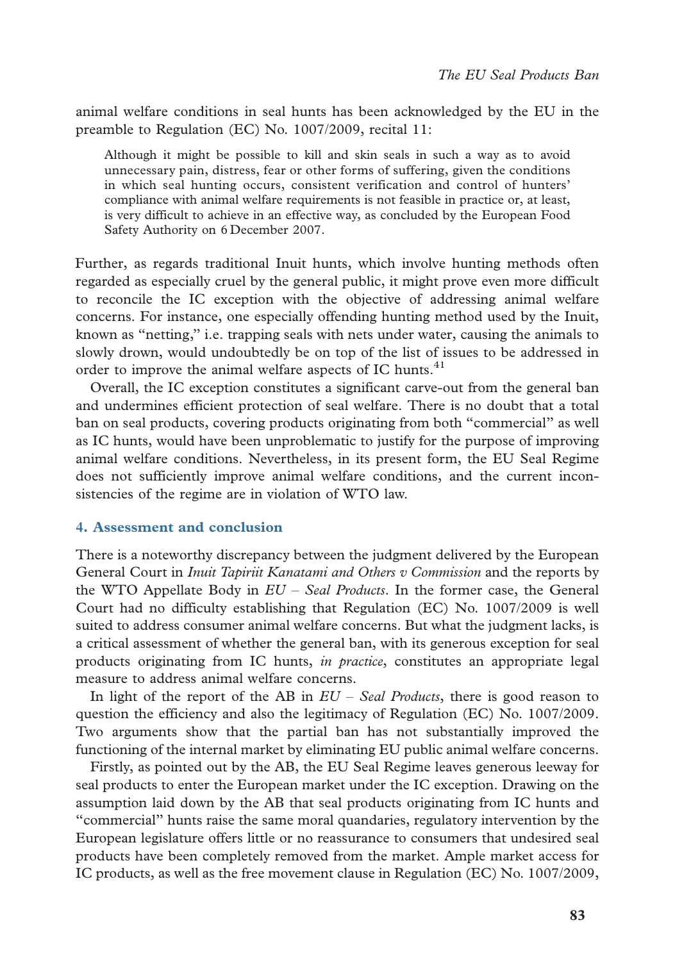animal welfare conditions in seal hunts has been acknowledged by the EU in the preamble to Regulation (EC) No. 1007/2009, recital 11:

Although it might be possible to kill and skin seals in such a way as to avoid unnecessary pain, distress, fear or other forms of suffering, given the conditions in which seal hunting occurs, consistent verification and control of hunters' compliance with animal welfare requirements is not feasible in practice or, at least, is very difficult to achieve in an effective way, as concluded by the European Food Safety Authority on 6 December 2007.

Further, as regards traditional Inuit hunts, which involve hunting methods often regarded as especially cruel by the general public, it might prove even more difficult to reconcile the IC exception with the objective of addressing animal welfare concerns. For instance, one especially offending hunting method used by the Inuit, known as ''netting,'' i.e. trapping seals with nets under water, causing the animals to slowly drown, would undoubtedly be on top of the list of issues to be addressed in order to improve the animal welfare aspects of IC hunts.<sup>41</sup>

Overall, the IC exception constitutes a significant carve-out from the general ban and undermines efficient protection of seal welfare. There is no doubt that a total ban on seal products, covering products originating from both ''commercial'' as well as IC hunts, would have been unproblematic to justify for the purpose of improving animal welfare conditions. Nevertheless, in its present form, the EU Seal Regime does not sufficiently improve animal welfare conditions, and the current inconsistencies of the regime are in violation of WTO law.

### 4. Assessment and conclusion

There is a noteworthy discrepancy between the judgment delivered by the European General Court in *Inuit Tapiriit Kanatami and Others v Commission* and the reports by the WTO Appellate Body in  $EU - Seal$  Products. In the former case, the General Court had no difficulty establishing that Regulation (EC) No. 1007/2009 is well suited to address consumer animal welfare concerns. But what the judgment lacks, is a critical assessment of whether the general ban, with its generous exception for seal products originating from IC hunts, in practice, constitutes an appropriate legal measure to address animal welfare concerns.

In light of the report of the AB in  $EU$  – Seal Products, there is good reason to question the efficiency and also the legitimacy of Regulation (EC) No. 1007/2009. Two arguments show that the partial ban has not substantially improved the functioning of the internal market by eliminating EU public animal welfare concerns.

Firstly, as pointed out by the AB, the EU Seal Regime leaves generous leeway for seal products to enter the European market under the IC exception. Drawing on the assumption laid down by the AB that seal products originating from IC hunts and ''commercial'' hunts raise the same moral quandaries, regulatory intervention by the European legislature offers little or no reassurance to consumers that undesired seal products have been completely removed from the market. Ample market access for IC products, as well as the free movement clause in Regulation (EC) No. 1007/2009,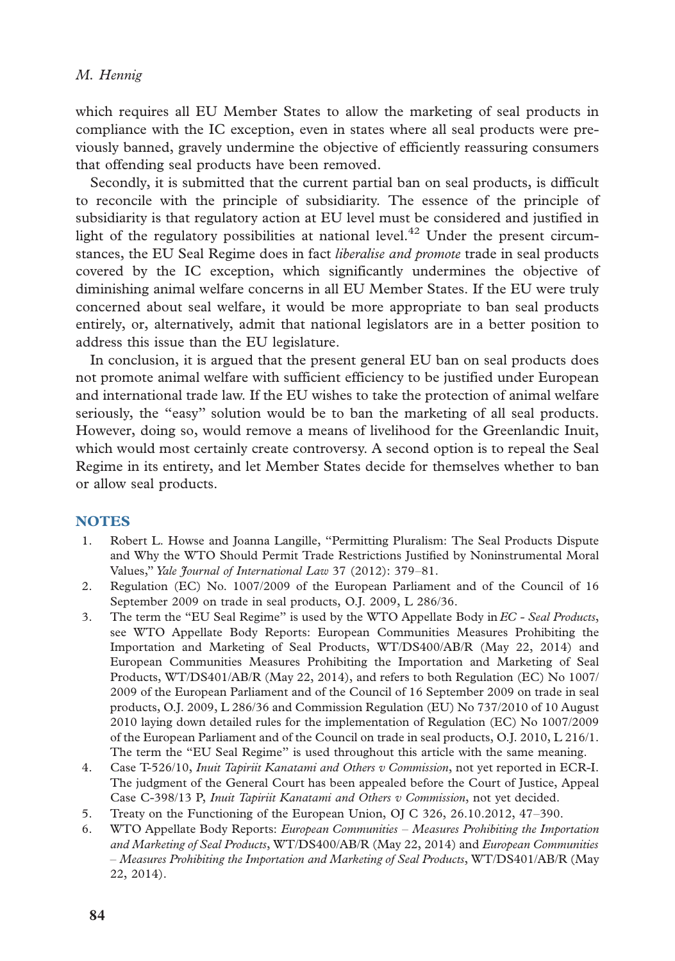which requires all EU Member States to allow the marketing of seal products in compliance with the IC exception, even in states where all seal products were previously banned, gravely undermine the objective of efficiently reassuring consumers that offending seal products have been removed.

Secondly, it is submitted that the current partial ban on seal products, is difficult to reconcile with the principle of subsidiarity. The essence of the principle of subsidiarity is that regulatory action at EU level must be considered and justified in light of the regulatory possibilities at national level.42 Under the present circumstances, the EU Seal Regime does in fact liberalise and promote trade in seal products covered by the IC exception, which significantly undermines the objective of diminishing animal welfare concerns in all EU Member States. If the EU were truly concerned about seal welfare, it would be more appropriate to ban seal products entirely, or, alternatively, admit that national legislators are in a better position to address this issue than the EU legislature.

In conclusion, it is argued that the present general EU ban on seal products does not promote animal welfare with sufficient efficiency to be justified under European and international trade law. If the EU wishes to take the protection of animal welfare seriously, the "easy" solution would be to ban the marketing of all seal products. However, doing so, would remove a means of livelihood for the Greenlandic Inuit, which would most certainly create controversy. A second option is to repeal the Seal Regime in its entirety, and let Member States decide for themselves whether to ban or allow seal products.

#### **NOTES**

- 1. Robert L. Howse and Joanna Langille, ''Permitting Pluralism: The Seal Products Dispute and Why the WTO Should Permit Trade Restrictions Justified by Noninstrumental Moral Values," Yale Journal of International Law 37 (2012): 379-81.
- 2. Regulation (EC) No. 1007/2009 of the European Parliament and of the Council of 16 September 2009 on trade in seal products, O.J. 2009, L 286/36.
- 3. The term the "EU Seal Regime" is used by the WTO Appellate Body in EC Seal Products, see WTO Appellate Body Reports: European Communities Measures Prohibiting the Importation and Marketing of Seal Products, WT/DS400/AB/R (May 22, 2014) and European Communities Measures Prohibiting the Importation and Marketing of Seal Products, WT/DS401/AB/R (May 22, 2014), and refers to both Regulation (EC) No 1007/ 2009 of the European Parliament and of the Council of 16 September 2009 on trade in seal products, O.J. 2009, L 286/36 and Commission Regulation (EU) No 737/2010 of 10 August 2010 laying down detailed rules for the implementation of Regulation (EC) No 1007/2009 of the European Parliament and of the Council on trade in seal products, O.J. 2010, L 216/1. The term the "EU Seal Regime" is used throughout this article with the same meaning.
- 4. Case T-526/10, Inuit Tapiriit Kanatami and Others v Commission, not yet reported in ECR-I. The judgment of the General Court has been appealed before the Court of Justice, Appeal Case C-398/13 P, Inuit Tapiriit Kanatami and Others v Commission, not yet decided.
- 5. Treaty on the Functioning of the European Union, OJ C 326, 26.10.2012, 47-390.
- 6. WTO Appellate Body Reports: European Communities Measures Prohibiting the Importation and Marketing of Seal Products, WT/DS400/AB/R (May 22, 2014) and European Communities - Measures Prohibiting the Importation and Marketing of Seal Products, WT/DS401/AB/R (May 22, 2014).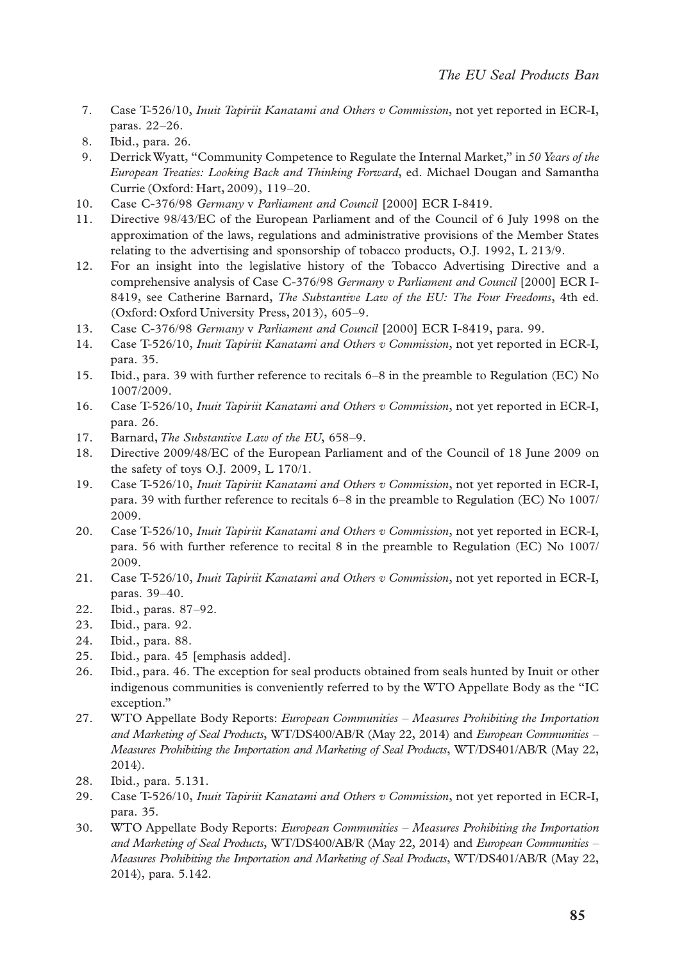- 7. Case T-526/10, Inuit Tapiriit Kanatami and Others v Commission, not yet reported in ECR-I, paras. 22-26.
- 8. Ibid., para. 26.
- 9. Derrick Wyatt, "Community Competence to Regulate the Internal Market," in 50 Years of the European Treaties: Looking Back and Thinking Forward, ed. Michael Dougan and Samantha Currie (Oxford: Hart, 2009), 119-20.
- 10. Case C-376/98 Germany v Parliament and Council [2000] ECR I-8419.
- 11. Directive 98/43/EC of the European Parliament and of the Council of 6 July 1998 on the approximation of the laws, regulations and administrative provisions of the Member States relating to the advertising and sponsorship of tobacco products, O.J. 1992, L 213/9.
- 12. For an insight into the legislative history of the Tobacco Advertising Directive and a comprehensive analysis of Case C-376/98 Germany v Parliament and Council [2000] ECR I-8419, see Catherine Barnard, The Substantive Law of the EU: The Four Freedoms, 4th ed. (Oxford: Oxford University Press, 2013), 605-9.
- 13. Case C-376/98 Germany v Parliament and Council [2000] ECR I-8419, para. 99.
- 14. Case T-526/10, Inuit Tapiriit Kanatami and Others v Commission, not yet reported in ECR-I, para. 35.
- 15. Ibid., para. 39 with further reference to recitals 6-8 in the preamble to Regulation (EC) No 1007/2009.
- 16. Case T-526/10, Inuit Tapiriit Kanatami and Others v Commission, not yet reported in ECR-I, para. 26.
- 17. Barnard, The Substantive Law of the EU, 658-9.
- 18. Directive 2009/48/EC of the European Parliament and of the Council of 18 June 2009 on the safety of toys O.J. 2009, L 170/1.
- 19. Case T-526/10, Inuit Tapiriit Kanatami and Others v Commission, not yet reported in ECR-I, para. 39 with further reference to recitals 6-8 in the preamble to Regulation (EC) No 1007/ 2009.
- 20. Case T-526/10, Inuit Tapiriit Kanatami and Others v Commission, not yet reported in ECR-I, para. 56 with further reference to recital 8 in the preamble to Regulation (EC) No 1007/ 2009.
- 21. Case T-526/10, Inuit Tapiriit Kanatami and Others v Commission, not vet reported in ECR-I, paras. 39-40.
- 22. Ibid., paras. 87-92.
- 23. Ibid., para. 92.
- 24. Ibid., para. 88.
- 25. Ibid., para. 45 [emphasis added].
- 26. Ibid., para. 46. The exception for seal products obtained from seals hunted by Inuit or other indigenous communities is conveniently referred to by the WTO Appellate Body as the ''IC exception.''
- 27. WTO Appellate Body Reports: European Communities Measures Prohibiting the Importation and Marketing of Seal Products, WT/DS400/AB/R (May 22, 2014) and European Communities - Measures Prohibiting the Importation and Marketing of Seal Products, WT/DS401/AB/R (May 22, 2014).
- 28. Ibid., para. 5.131.
- 29. Case T-526/10, Inuit Tapiriit Kanatami and Others v Commission, not yet reported in ECR-I, para. 35.
- 30. WTO Appellate Body Reports: European Communities Measures Prohibiting the Importation and Marketing of Seal Products, WT/DS400/AB/R (May 22, 2014) and European Communities - Measures Prohibiting the Importation and Marketing of Seal Products, WT/DS401/AB/R (May 22, 2014), para. 5.142.